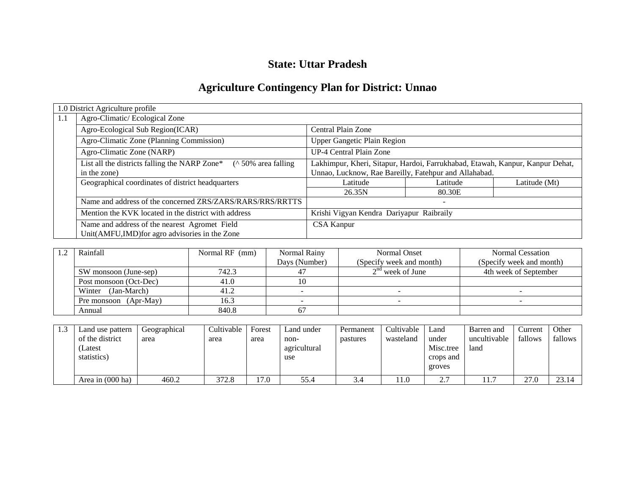# **State: Uttar Pradesh**

# **Agriculture Contingency Plan for District: Unnao**

|     | 1.0 District Agriculture profile                                      |                                                                               |          |               |  |
|-----|-----------------------------------------------------------------------|-------------------------------------------------------------------------------|----------|---------------|--|
| 1.1 | Agro-Climatic/Ecological Zone                                         |                                                                               |          |               |  |
|     | Agro-Ecological Sub Region(ICAR)                                      | Central Plain Zone                                                            |          |               |  |
|     | Agro-Climatic Zone (Planning Commission)                              | <b>Upper Gangetic Plain Region</b>                                            |          |               |  |
|     | Agro-Climatic Zone (NARP)                                             | <b>UP-4 Central Plain Zone</b>                                                |          |               |  |
|     | List all the districts falling the NARP Zone*<br>$($ 50% area falling | Lakhimpur, Kheri, Sitapur, Hardoi, Farrukhabad, Etawah, Kanpur, Kanpur Dehat, |          |               |  |
|     | in the zone)                                                          | Unnao, Lucknow, Rae Bareilly, Fatehpur and Allahabad.                         |          |               |  |
|     | Geographical coordinates of district headquarters                     | Latitude                                                                      | Latitude | Latitude (Mt) |  |
|     |                                                                       | 26.35N                                                                        | 80.30E   |               |  |
|     | Name and address of the concerned ZRS/ZARS/RARS/RRS/RRTTS             |                                                                               |          |               |  |
|     | Mention the KVK located in the district with address                  | Krishi Vigyan Kendra Dariyapur Raibraily                                      |          |               |  |
|     | Name and address of the nearest Agromet Field                         | <b>CSA Kanpur</b>                                                             |          |               |  |
|     | Unit(AMFU,IMD) for agro advisories in the Zone                        |                                                                               |          |               |  |

| Rainfall               | Normal RF (mm) | Normal Rainy  | Normal Onset             | Normal Cessation         |
|------------------------|----------------|---------------|--------------------------|--------------------------|
|                        |                | Days (Number) | (Specify week and month) | (Specify week and month) |
| SW monsoon (June-sep)  | 742.3          |               | $2nd$ week of June       | 4th week of September    |
| Post monsoon (Oct-Dec) | 41.0           |               |                          |                          |
| (Jan-March)<br>Winter  | 41.2           |               |                          |                          |
| Pre monsoon (Apr-May)  | 16.3           |               |                          |                          |
| Annual                 | 840.8          |               |                          |                          |

| Land use pattern   | Geographical | Cultivable | Forest | Land under   | Permanent | Cultivable | Land      | Barren and            | Current | Other   |
|--------------------|--------------|------------|--------|--------------|-----------|------------|-----------|-----------------------|---------|---------|
| of the district    | area         | area       | area   | non-         | pastures  | wasteland  | under     | uncultivable          | fallows | fallows |
| (Latest            |              |            |        | agricultural |           |            | Misc.tree | land                  |         |         |
| statistics)        |              |            |        | use          |           |            | crops and |                       |         |         |
|                    |              |            |        |              |           |            | groves    |                       |         |         |
| Area in $(000$ ha) | 460.2        | 372.8      | 17.0   | 55.4         | 3.4       | 11.0       | 2.7       | 1 <sub>7</sub><br>11. | 27.0    | 23.14   |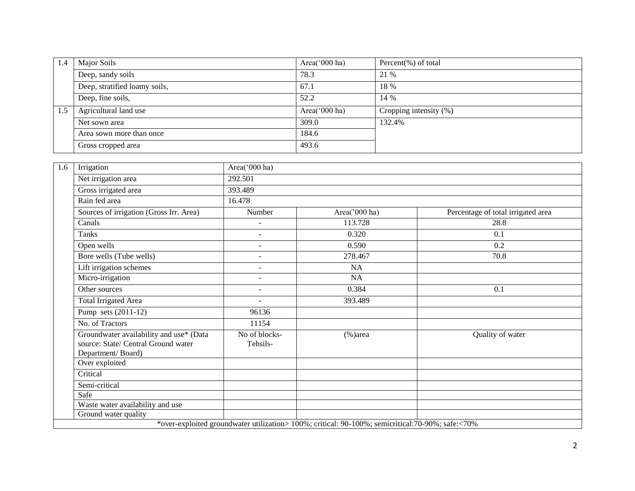| 1.4 | Major Soils                   | Area(' $000$ ha) | Percent $(\%)$ of total |
|-----|-------------------------------|------------------|-------------------------|
|     | Deep, sandy soils             | 78.3             | 21 %                    |
|     | Deep, stratified loamy soils, | 67.1             | 18 %                    |
|     | Deep, fine soils,             | 52.2             | 14 %                    |
| 1.5 | Agricultural land use         | Area('000 ha)    | Cropping intensity (%)  |
|     | Net sown area                 | 309.0            | 132.4%                  |
|     | Area sown more than once      | 184.6            |                         |
|     | Gross cropped area            | 493.6            |                         |

| 1.6 | Irrigation                                                                                          | Area('000 ha)             |                                                                                                  |                                    |
|-----|-----------------------------------------------------------------------------------------------------|---------------------------|--------------------------------------------------------------------------------------------------|------------------------------------|
|     | Net irrigation area                                                                                 | 292.501                   |                                                                                                  |                                    |
|     | Gross irrigated area                                                                                | 393.489                   |                                                                                                  |                                    |
|     | Rain fed area                                                                                       | 16.478                    |                                                                                                  |                                    |
|     | Sources of irrigation (Gross Irr. Area)                                                             | Number                    | Area('000 ha)                                                                                    | Percentage of total irrigated area |
|     | Canals                                                                                              |                           | 113.728                                                                                          | 28.8                               |
|     | Tanks                                                                                               | $\overline{\phantom{a}}$  | 0.320                                                                                            | 0.1                                |
|     | Open wells                                                                                          | $\sim$                    | 0.590                                                                                            | 0.2                                |
|     | Bore wells (Tube wells)                                                                             | $\overline{a}$            | 278.467                                                                                          | 70.8                               |
|     | Lift irrigation schemes                                                                             | $\overline{\phantom{a}}$  | <b>NA</b>                                                                                        |                                    |
|     | Micro-irrigation                                                                                    | $\overline{\phantom{a}}$  | NA                                                                                               |                                    |
|     | Other sources                                                                                       | ٠                         | 0.384                                                                                            | 0.1                                |
|     | <b>Total Irrigated Area</b>                                                                         | $\blacksquare$            | 393.489                                                                                          |                                    |
|     | Pump sets (2011-12)                                                                                 | 96136                     |                                                                                                  |                                    |
|     | No. of Tractors                                                                                     | 11154                     |                                                                                                  |                                    |
|     | Groundwater availability and use* (Data<br>source: State/ Central Ground water<br>Department/Board) | No of blocks-<br>Tehsils- | $(\% )$ area                                                                                     | Quality of water                   |
|     | Over exploited                                                                                      |                           |                                                                                                  |                                    |
|     | Critical                                                                                            |                           |                                                                                                  |                                    |
|     | Semi-critical                                                                                       |                           |                                                                                                  |                                    |
|     | Safe                                                                                                |                           |                                                                                                  |                                    |
|     | Waste water availability and use                                                                    |                           |                                                                                                  |                                    |
|     | Ground water quality                                                                                |                           |                                                                                                  |                                    |
|     |                                                                                                     |                           | *over-exploited groundwater utilization> 100%; critical: 90-100%; semicritical:70-90%; safe:<70% |                                    |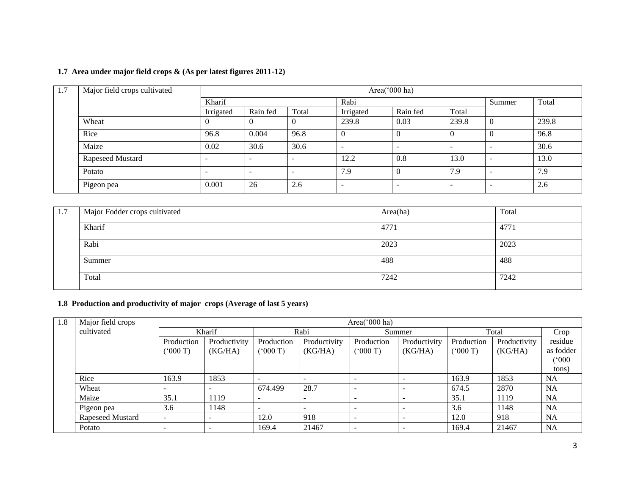|  |  |  |  |  | 1.7 Area under major field crops & (As per latest figures 2011-12) |  |
|--|--|--|--|--|--------------------------------------------------------------------|--|
|--|--|--|--|--|--------------------------------------------------------------------|--|

| 1.7 | Major field crops cultivated |           |          |       |                          | Area('000 ha) |                          |          |       |
|-----|------------------------------|-----------|----------|-------|--------------------------|---------------|--------------------------|----------|-------|
|     |                              | Kharif    |          |       | Rabi                     |               |                          | Summer   | Total |
|     |                              | Irrigated | Rain fed | Total | Irrigated                | Rain fed      | Total                    |          |       |
|     | Wheat                        |           |          |       | 239.8                    | 0.03          | 239.8                    | $\theta$ | 239.8 |
|     | Rice                         | 96.8      | 0.004    | 96.8  |                          | $\theta$      |                          | $\theta$ | 96.8  |
|     | Maize                        | 0.02      | 30.6     | 30.6  | $\overline{\phantom{a}}$ | <b>.</b>      | $\overline{\phantom{0}}$ |          | 30.6  |
|     | Rapeseed Mustard             |           |          |       | 12.2                     | 0.8           | 13.0                     |          | 13.0  |
|     | Potato                       |           |          | -     | 7.9                      | $\theta$      | 7.9                      |          | 7.9   |
|     | Pigeon pea                   | 0.001     | 26       | 2.6   | -                        | -             | -                        |          | 2.6   |

| 1.7 | Major Fodder crops cultivated | Area(ha) | Total |
|-----|-------------------------------|----------|-------|
|     |                               |          |       |
|     |                               |          |       |
|     | Kharif                        |          |       |
|     |                               | 4771     | 4771  |
|     |                               |          |       |
|     |                               |          |       |
|     | Rabi                          | 2023     | 2023  |
|     |                               |          |       |
|     |                               |          |       |
|     | Summer                        | 488      | 488   |
|     |                               |          |       |
|     |                               |          |       |
|     | Total                         | 7242     | 7242  |
|     |                               |          |       |
|     |                               |          |       |

# **1.8 Production and productivity of major crops (Average of last 5 years)**

| 1.8 | Major field crops |                          | Area( $000$ ha)          |            |              |                          |              |            |              |           |  |  |
|-----|-------------------|--------------------------|--------------------------|------------|--------------|--------------------------|--------------|------------|--------------|-----------|--|--|
|     | cultivated        | Kharif                   |                          |            | Rabi         |                          | Summer       |            | Total        |           |  |  |
|     |                   | Production               | Productivity             | Production | Productivity | Production               | Productivity | Production | Productivity | residue   |  |  |
|     |                   | (5000)                   | (KG/HA)                  | (000 T)    | (KG/HA)      | (5000)                   | (KG/HA)      | (000T)     | (KG/HA)      | as fodder |  |  |
|     |                   |                          |                          |            |              |                          |              |            |              | (000)     |  |  |
|     |                   |                          |                          |            |              |                          |              |            |              | tons)     |  |  |
|     | Rice              | 163.9                    | 1853                     |            |              |                          |              | 163.9      | 1853         | <b>NA</b> |  |  |
|     | Wheat             | $\overline{\phantom{0}}$ | $\overline{\phantom{0}}$ | 674.499    | 28.7         |                          |              | 674.5      | 2870         | <b>NA</b> |  |  |
|     | Maize             | 35.1                     | 1119                     | <b>.</b>   |              | -                        |              | 35.1       | 1119         | <b>NA</b> |  |  |
|     | Pigeon pea        | 3.6                      | 1148                     |            |              | $\overline{\phantom{0}}$ |              | 3.6        | 1148         | <b>NA</b> |  |  |
|     | Rapeseed Mustard  |                          |                          | 12.0       | 918          |                          |              | 12.0       | 918          | <b>NA</b> |  |  |
|     | Potato            | $\overline{\phantom{a}}$ |                          | 169.4      | 21467        |                          |              | 169.4      | 21467        | <b>NA</b> |  |  |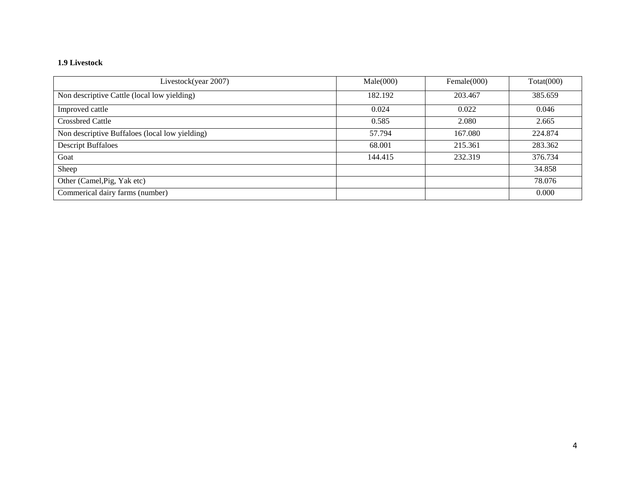# **1.9 Livestock**

| Livestock(year 2007)                           | Male(000) | Female $(000)$ | Totat(000) |
|------------------------------------------------|-----------|----------------|------------|
| Non descriptive Cattle (local low yielding)    | 182.192   | 203.467        | 385.659    |
| Improved cattle                                | 0.024     | 0.022          | 0.046      |
| <b>Crossbred Cattle</b>                        | 0.585     | 2.080          | 2.665      |
| Non descriptive Buffaloes (local low yielding) | 57.794    | 167.080        | 224.874    |
| <b>Descript Buffaloes</b>                      | 68.001    | 215.361        | 283.362    |
| Goat                                           | 144.415   | 232.319        | 376.734    |
| Sheep                                          |           |                | 34.858     |
| Other (Camel, Pig, Yak etc)                    |           |                | 78.076     |
| Commerical dairy farms (number)                |           |                | 0.000      |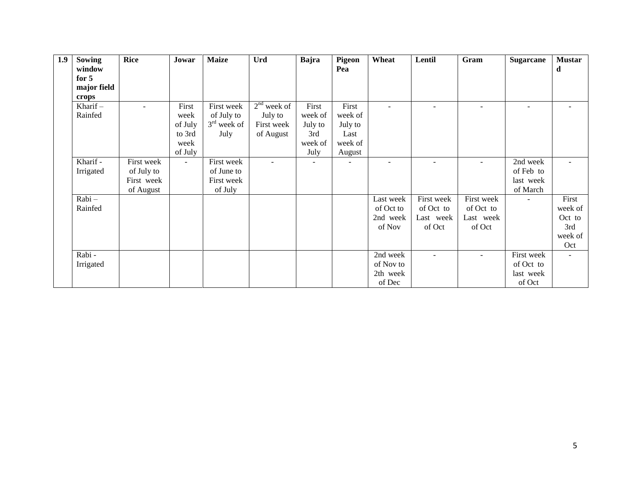| 1.9 | Sowing      | <b>Rice</b>    | Jowar          | <b>Maize</b>  | Urd           | Bajra          | <b>Pigeon</b>            | Wheat     | Lentil     | Gram       | Sugarcane                | <b>Mustar</b>            |
|-----|-------------|----------------|----------------|---------------|---------------|----------------|--------------------------|-----------|------------|------------|--------------------------|--------------------------|
|     | window      |                |                |               |               |                | Pea                      |           |            |            |                          | d                        |
|     | for $5$     |                |                |               |               |                |                          |           |            |            |                          |                          |
|     | major field |                |                |               |               |                |                          |           |            |            |                          |                          |
|     | crops       |                |                |               |               |                |                          |           |            |            |                          |                          |
|     | Kharif $-$  | $\overline{a}$ | First          | First week    | $2nd$ week of | First          | First                    |           |            |            | $\overline{\phantom{a}}$ |                          |
|     | Rainfed     |                | week           | of July to    | July to       | week of        | week of                  |           |            |            |                          |                          |
|     |             |                | of July        | $3rd$ week of | First week    | July to        | July to                  |           |            |            |                          |                          |
|     |             |                | to 3rd         | July          | of August     | 3rd            | Last                     |           |            |            |                          |                          |
|     |             |                | week           |               |               | week of        | week of                  |           |            |            |                          |                          |
|     |             |                | of July        |               |               | July           | August                   |           |            |            |                          |                          |
|     | Kharif -    | First week     | $\blacksquare$ | First week    |               | $\blacksquare$ | $\overline{\phantom{a}}$ |           |            |            | 2nd week                 |                          |
|     | Irrigated   | of July to     |                | of June to    |               |                |                          |           |            |            | of Feb to                |                          |
|     |             | First week     |                | First week    |               |                |                          |           |            |            | last week                |                          |
|     |             | of August      |                | of July       |               |                |                          |           |            |            | of March                 |                          |
|     | Rabi-       |                |                |               |               |                |                          | Last week | First week | First week | $\sim$                   | First                    |
|     | Rainfed     |                |                |               |               |                |                          | of Oct to | of Oct to  | of Oct to  |                          | week of                  |
|     |             |                |                |               |               |                |                          | 2nd week  | Last week  | Last week  |                          | Oct to                   |
|     |             |                |                |               |               |                |                          | of Nov    | of Oct     | of Oct     |                          | 3rd                      |
|     |             |                |                |               |               |                |                          |           |            |            |                          | week of                  |
|     |             |                |                |               |               |                |                          |           |            |            |                          | Oct                      |
|     | Rabi -      |                |                |               |               |                |                          | 2nd week  |            |            | First week               | $\overline{\phantom{a}}$ |
|     | Irrigated   |                |                |               |               |                |                          | of Nov to |            |            | of Oct to                |                          |
|     |             |                |                |               |               |                |                          | 2th week  |            |            | last week                |                          |
|     |             |                |                |               |               |                |                          | of Dec    |            |            | of Oct                   |                          |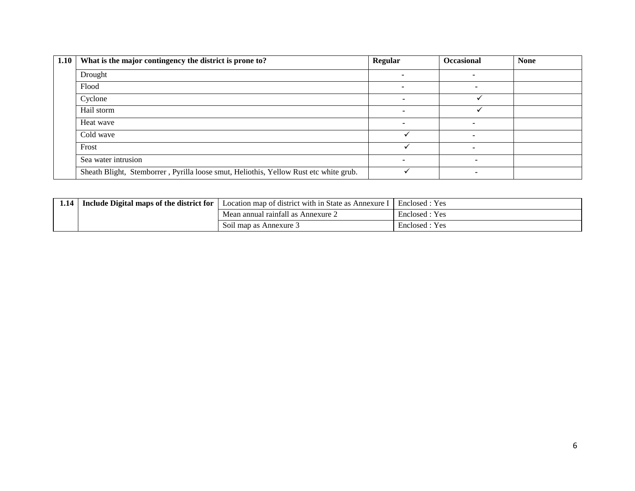| 1.10 | What is the major contingency the district is prone to?                               | Regular | <b>Occasional</b> | <b>None</b> |
|------|---------------------------------------------------------------------------------------|---------|-------------------|-------------|
|      | Drought                                                                               |         |                   |             |
|      | Flood                                                                                 | -       |                   |             |
|      | Cyclone                                                                               |         |                   |             |
|      | Hail storm                                                                            |         |                   |             |
|      | Heat wave                                                                             |         |                   |             |
|      | Cold wave                                                                             |         |                   |             |
|      | Frost                                                                                 |         |                   |             |
|      | Sea water intrusion                                                                   |         |                   |             |
|      | Sheath Blight, Stemborrer, Pyrilla loose smut, Heliothis, Yellow Rust etc white grub. |         |                   |             |

| 1.14 | Include Digital maps of the district for | Location map of district with in State as Annexure | Enclosed : Yes |
|------|------------------------------------------|----------------------------------------------------|----------------|
|      |                                          | Mean annual rainfall as Annexure 2                 | Enclosed : Yes |
|      |                                          | Soil map as Annexure 3                             | Enclosed : Yes |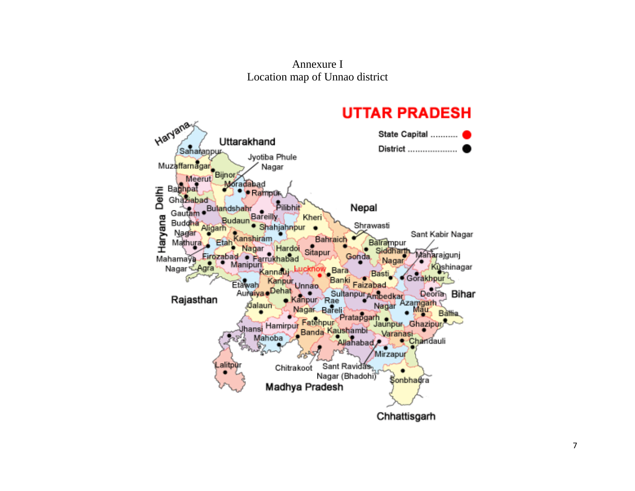Annexure I Location map of Unnao district

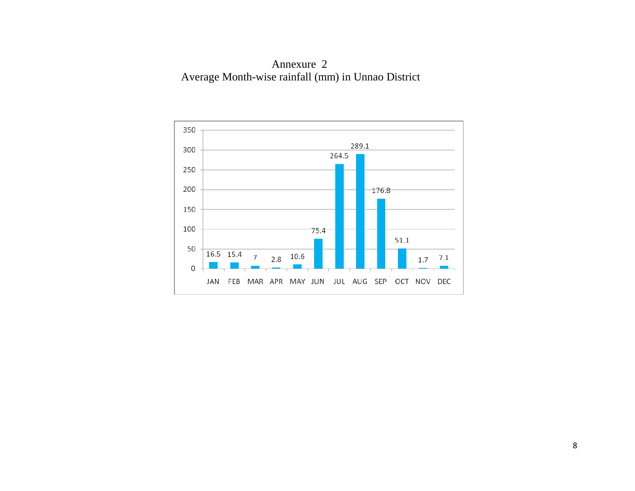Annexure 2 Average Month-wise rainfall (mm) in Unnao District

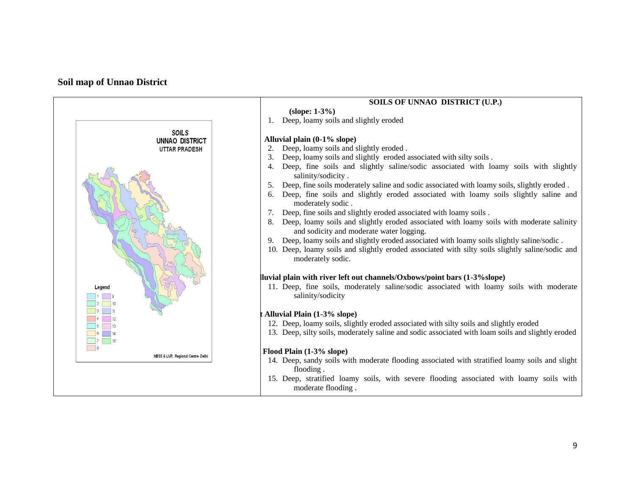#### **Soil map of Unnao District**

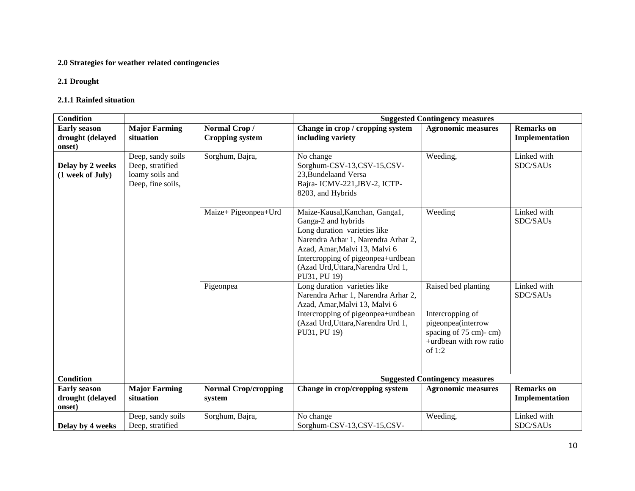# **2.0 Strategies for weather related contingencies**

#### **2.1 Drought**

#### **2.1.1 Rainfed situation**

| <b>Condition</b>                                  |                                                                               |                                        | <b>Suggested Contingency measures</b>                                                                                                                                                                                                                     |                                                                                                                                |                                     |  |
|---------------------------------------------------|-------------------------------------------------------------------------------|----------------------------------------|-----------------------------------------------------------------------------------------------------------------------------------------------------------------------------------------------------------------------------------------------------------|--------------------------------------------------------------------------------------------------------------------------------|-------------------------------------|--|
| <b>Early season</b><br>drought (delayed<br>onset) | <b>Major Farming</b><br>situation                                             | Normal Crop/<br><b>Cropping system</b> | Change in crop / cropping system<br>including variety                                                                                                                                                                                                     | <b>Agronomic measures</b>                                                                                                      | <b>Remarks</b> on<br>Implementation |  |
| Delay by 2 weeks<br>(1 week of July)              | Deep, sandy soils<br>Deep, stratified<br>loamy soils and<br>Deep, fine soils, | Sorghum, Bajra,                        | No change<br>Sorghum-CSV-13,CSV-15,CSV-<br>23, Bundelaand Versa<br>Bajra-ICMV-221, JBV-2, ICTP-<br>8203, and Hybrids                                                                                                                                      | Weeding,                                                                                                                       | Linked with<br>SDC/SAUs             |  |
|                                                   |                                                                               | Maize+ Pigeonpea+Urd                   | Maize-Kausal, Kanchan, Ganga1,<br>Ganga-2 and hybrids<br>Long duration varieties like<br>Narendra Arhar 1, Narendra Arhar 2,<br>Azad, Amar, Malvi 13, Malvi 6<br>Intercropping of pigeonpea+urdbean<br>(Azad Urd, Uttara, Narendra Urd 1,<br>PU31, PU 19) | Weeding                                                                                                                        | Linked with<br>SDC/SAUs             |  |
|                                                   |                                                                               | Pigeonpea                              | Long duration varieties like<br>Narendra Arhar 1, Narendra Arhar 2,<br>Azad, Amar, Malvi 13, Malvi 6<br>Intercropping of pigeonpea+urdbean<br>(Azad Urd, Uttara, Narendra Urd 1,<br>PU31, PU 19)                                                          | Raised bed planting<br>Intercropping of<br>pigeonpea(interrow<br>spacing of 75 cm)- cm)<br>+urdbean with row ratio<br>of $1:2$ | Linked with<br>SDC/SAUs             |  |
| <b>Condition</b>                                  |                                                                               |                                        |                                                                                                                                                                                                                                                           | <b>Suggested Contingency measures</b>                                                                                          |                                     |  |
| <b>Early season</b><br>drought (delayed<br>onset) | <b>Major Farming</b><br>situation                                             | <b>Normal Crop/cropping</b><br>system  | Change in crop/cropping system                                                                                                                                                                                                                            | <b>Agronomic measures</b>                                                                                                      | <b>Remarks</b> on<br>Implementation |  |
| Delay by 4 weeks                                  | Deep, sandy soils<br>Deep, stratified                                         | Sorghum, Bajra,                        | No change<br>Sorghum-CSV-13,CSV-15,CSV-                                                                                                                                                                                                                   | Weeding,                                                                                                                       | Linked with<br>SDC/SAUs             |  |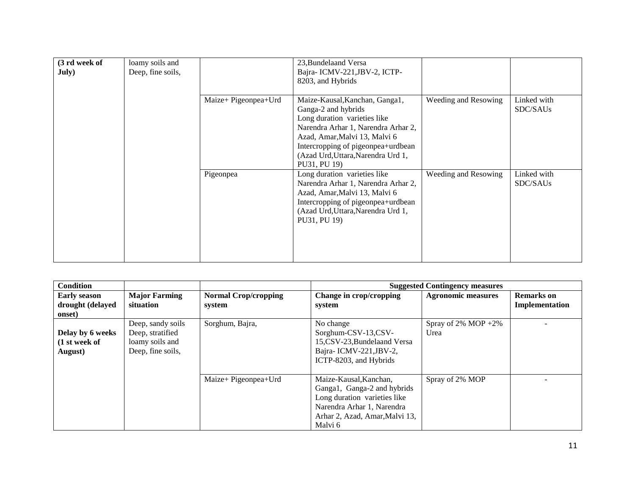| (3 rd week of<br><b>July</b> ) | loamy soils and<br>Deep, fine soils, |                      | 23, Bundelaand Versa<br>Bajra-ICMV-221, JBV-2, ICTP-<br>8203, and Hybrids                                                                                                                                                                                 |                      |                         |
|--------------------------------|--------------------------------------|----------------------|-----------------------------------------------------------------------------------------------------------------------------------------------------------------------------------------------------------------------------------------------------------|----------------------|-------------------------|
|                                |                                      | Maize+ Pigeonpea+Urd | Maize-Kausal, Kanchan, Ganga1,<br>Ganga-2 and hybrids<br>Long duration varieties like<br>Narendra Arhar 1, Narendra Arhar 2,<br>Azad, Amar, Malvi 13, Malvi 6<br>Intercropping of pigeonpea+urdbean<br>(Azad Urd, Uttara, Narendra Urd 1,<br>PU31, PU 19) | Weeding and Resowing | Linked with<br>SDC/SAUs |
|                                |                                      | Pigeonpea            | Long duration varieties like<br>Narendra Arhar 1, Narendra Arhar 2,<br>Azad, Amar, Malvi 13, Malvi 6<br>Intercropping of pigeonpea+urdbean<br>(Azad Urd, Uttara, Narendra Urd 1,<br>PU31, PU 19)                                                          | Weeding and Resowing | Linked with<br>SDC/SAUs |

| <b>Condition</b>                                  |                                                                               |                                       |                                                                                                                                                                  | <b>Suggested Contingency measures</b> |                                     |
|---------------------------------------------------|-------------------------------------------------------------------------------|---------------------------------------|------------------------------------------------------------------------------------------------------------------------------------------------------------------|---------------------------------------|-------------------------------------|
| <b>Early season</b><br>drought (delayed<br>onset) | <b>Major Farming</b><br>situation                                             | <b>Normal Crop/cropping</b><br>system | Change in crop/cropping<br>system                                                                                                                                | <b>Agronomic measures</b>             | <b>Remarks</b> on<br>Implementation |
| Delay by 6 weeks<br>(1 st week of<br>August)      | Deep, sandy soils<br>Deep, stratified<br>loamy soils and<br>Deep, fine soils, | Sorghum, Bajra,                       | No change<br>Sorghum-CSV-13,CSV-<br>15,CSV-23, Bundelaand Versa<br>Bajra-ICMV-221, JBV-2,<br>ICTP-8203, and Hybrids                                              | Spray of $2\%$ MOP +2%<br>Urea        |                                     |
|                                                   |                                                                               | Maize+ Pigeonpea+Urd                  | Maize-Kausal, Kanchan,<br>Ganga1, Ganga-2 and hybrids<br>Long duration varieties like<br>Narendra Arhar 1, Narendra<br>Arhar 2, Azad, Amar, Malvi 13,<br>Malvi 6 | Spray of 2% MOP                       |                                     |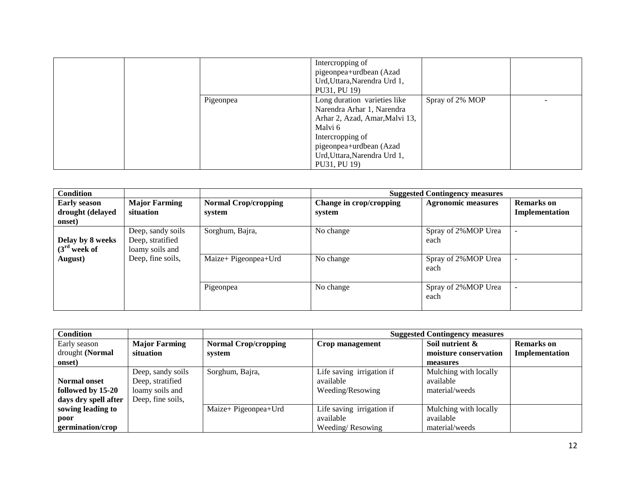|  |           | Intercropping of<br>pigeonpea+urdbean (Azad<br>Urd, Uttara, Narendra Urd 1,<br>PU31, PU 19)                                                                                                            |                 |  |
|--|-----------|--------------------------------------------------------------------------------------------------------------------------------------------------------------------------------------------------------|-----------------|--|
|  | Pigeonpea | Long duration varieties like<br>Narendra Arhar 1, Narendra<br>Arhar 2, Azad, Amar, Malvi 13,<br>Malvi 6<br>Intercropping of<br>pigeonpea+urdbean (Azad<br>Urd, Uttara, Narendra Urd 1,<br>PU31, PU 19) | Spray of 2% MOP |  |

| <b>Condition</b>                                  |                                                          |                                       |                                   | <b>Suggested Contingency measures</b> |                                     |
|---------------------------------------------------|----------------------------------------------------------|---------------------------------------|-----------------------------------|---------------------------------------|-------------------------------------|
| <b>Early season</b><br>drought (delayed<br>onset) | <b>Major Farming</b><br>situation                        | <b>Normal Crop/cropping</b><br>system | Change in crop/cropping<br>system | <b>Agronomic measures</b>             | <b>Remarks</b> on<br>Implementation |
| Delay by 8 weeks<br>$(3rd$ week of                | Deep, sandy soils<br>Deep, stratified<br>loamy soils and | Sorghum, Bajra,                       | No change                         | Spray of 2%MOP Urea<br>each           |                                     |
| August)                                           | Deep, fine soils,                                        | Maize+ Pigeonpea+Urd                  | No change                         | Spray of 2%MOP Urea<br>each           |                                     |
|                                                   |                                                          | Pigeonpea                             | No change                         | Spray of 2%MOP Urea<br>each           |                                     |

| <b>Condition</b>     |                      |                             | <b>Suggested Contingency measures</b> |                       |                   |
|----------------------|----------------------|-----------------------------|---------------------------------------|-----------------------|-------------------|
| Early season         | <b>Major Farming</b> | <b>Normal Crop/cropping</b> | Crop management                       | Soil nutrient &       | <b>Remarks</b> on |
| drought (Normal      | situation            | system                      |                                       | moisture conservation | Implementation    |
| onset)               |                      |                             |                                       | measures              |                   |
|                      | Deep, sandy soils    | Sorghum, Bajra,             | Life saving irrigation if             | Mulching with locally |                   |
| <b>Normal onset</b>  | Deep, stratified     |                             | available                             | available             |                   |
| followed by 15-20    | loamy soils and      |                             | Weeding/Resowing                      | material/weeds        |                   |
| days dry spell after | Deep, fine soils,    |                             |                                       |                       |                   |
| sowing leading to    |                      | Maize+ Pigeonpea+Urd        | Life saving irrigation if             | Mulching with locally |                   |
| poor                 |                      |                             | available                             | available             |                   |
| germination/crop     |                      |                             | Weeding/Resowing                      | material/weeds        |                   |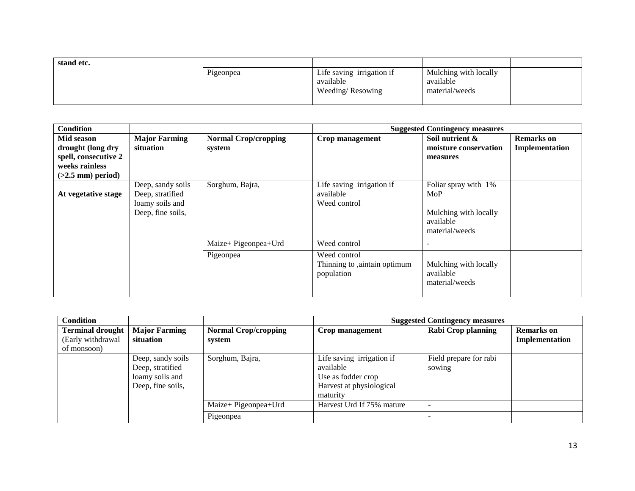| stand etc. |           |                           |                       |  |
|------------|-----------|---------------------------|-----------------------|--|
|            | Pigeonpea | Life saving irrigation if | Mulching with locally |  |
|            |           | available                 | available             |  |
|            |           | Weeding/Resowing          | material/weeds        |  |
|            |           |                           |                       |  |

| Condition                                                                                        |                                                                               |                                       |                                                            | <b>Suggested Contingency measures</b>                                               |                                     |
|--------------------------------------------------------------------------------------------------|-------------------------------------------------------------------------------|---------------------------------------|------------------------------------------------------------|-------------------------------------------------------------------------------------|-------------------------------------|
| Mid season<br>drought (long dry<br>spell, consecutive 2<br>weeks rainless<br>$(>2.5$ mm) period) | <b>Major Farming</b><br>situation                                             | <b>Normal Crop/cropping</b><br>system | Crop management                                            | Soil nutrient &<br>moisture conservation<br>measures                                | <b>Remarks</b> on<br>Implementation |
| At vegetative stage                                                                              | Deep, sandy soils<br>Deep, stratified<br>loamy soils and<br>Deep, fine soils, | Sorghum, Bajra,                       | Life saving irrigation if<br>available<br>Weed control     | Foliar spray with 1%<br>MoP<br>Mulching with locally<br>available<br>material/weeds |                                     |
|                                                                                                  |                                                                               | Maize+ Pigeonpea+Urd                  | Weed control                                               |                                                                                     |                                     |
|                                                                                                  |                                                                               | Pigeonpea                             | Weed control<br>Thinning to ,aintain optimum<br>population | Mulching with locally<br>available<br>material/weeds                                |                                     |

| <b>Condition</b>                                            |                                                                               |                                       | <b>Suggested Contingency measures</b>                                                                |                                  |                                     |
|-------------------------------------------------------------|-------------------------------------------------------------------------------|---------------------------------------|------------------------------------------------------------------------------------------------------|----------------------------------|-------------------------------------|
| <b>Terminal drought</b><br>(Early withdrawal<br>of monsoon) | <b>Major Farming</b><br>situation                                             | <b>Normal Crop/cropping</b><br>system | Crop management                                                                                      | <b>Rabi Crop planning</b>        | <b>Remarks</b> on<br>Implementation |
|                                                             | Deep, sandy soils<br>Deep, stratified<br>loamy soils and<br>Deep, fine soils, | Sorghum, Bajra,                       | Life saving irrigation if<br>available<br>Use as fodder crop<br>Harvest at physiological<br>maturity | Field prepare for rabi<br>sowing |                                     |
|                                                             |                                                                               | Maize+ Pigeonpea+Urd                  | Harvest Urd If 75% mature                                                                            |                                  |                                     |
|                                                             |                                                                               | Pigeonpea                             |                                                                                                      |                                  |                                     |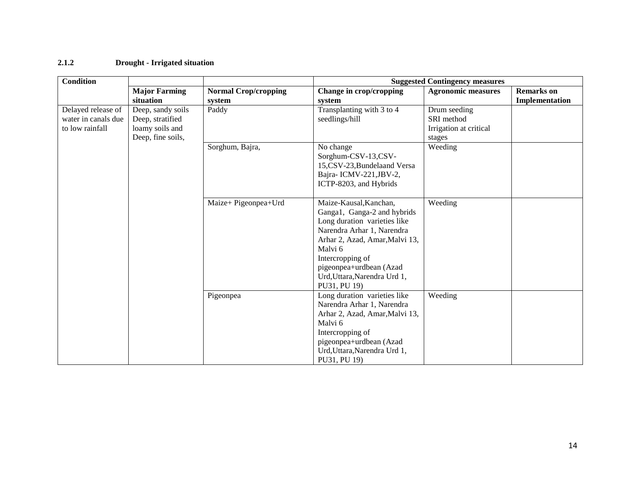#### **2.1.2 Drought - Irrigated situation**

| <b>Condition</b>    |                      |                             | <b>Suggested Contingency measures</b> |                           |                   |  |
|---------------------|----------------------|-----------------------------|---------------------------------------|---------------------------|-------------------|--|
|                     | <b>Major Farming</b> | <b>Normal Crop/cropping</b> | Change in crop/cropping               | <b>Agronomic measures</b> | <b>Remarks</b> on |  |
|                     | situation            | system                      | system                                |                           | Implementation    |  |
| Delayed release of  | Deep, sandy soils    | Paddy                       | Transplanting with 3 to 4             | Drum seeding              |                   |  |
| water in canals due | Deep, stratified     |                             | seedlings/hill                        | SRI method                |                   |  |
| to low rainfall     | loamy soils and      |                             |                                       | Irrigation at critical    |                   |  |
|                     | Deep, fine soils,    |                             |                                       | stages                    |                   |  |
|                     |                      | Sorghum, Bajra,             | No change                             | Weeding                   |                   |  |
|                     |                      |                             | Sorghum-CSV-13,CSV-                   |                           |                   |  |
|                     |                      |                             | 15,CSV-23, Bundelaand Versa           |                           |                   |  |
|                     |                      |                             | Bajra-ICMV-221, JBV-2,                |                           |                   |  |
|                     |                      |                             | ICTP-8203, and Hybrids                |                           |                   |  |
|                     |                      |                             |                                       |                           |                   |  |
|                     |                      | Maize+ Pigeonpea+Urd        | Maize-Kausal, Kanchan,                | Weeding                   |                   |  |
|                     |                      |                             | Ganga1, Ganga-2 and hybrids           |                           |                   |  |
|                     |                      |                             | Long duration varieties like          |                           |                   |  |
|                     |                      |                             | Narendra Arhar 1, Narendra            |                           |                   |  |
|                     |                      |                             | Arhar 2, Azad, Amar, Malvi 13,        |                           |                   |  |
|                     |                      |                             | Malvi 6                               |                           |                   |  |
|                     |                      |                             | Intercropping of                      |                           |                   |  |
|                     |                      |                             | pigeonpea+urdbean (Azad               |                           |                   |  |
|                     |                      |                             | Urd, Uttara, Narendra Urd 1,          |                           |                   |  |
|                     |                      |                             | PU31, PU 19)                          |                           |                   |  |
|                     |                      | Pigeonpea                   | Long duration varieties like          | Weeding                   |                   |  |
|                     |                      |                             | Narendra Arhar 1, Narendra            |                           |                   |  |
|                     |                      |                             | Arhar 2, Azad, Amar, Malvi 13,        |                           |                   |  |
|                     |                      |                             | Malvi 6                               |                           |                   |  |
|                     |                      |                             | Intercropping of                      |                           |                   |  |
|                     |                      |                             | pigeonpea+urdbean (Azad               |                           |                   |  |
|                     |                      |                             | Urd, Uttara, Narendra Urd 1,          |                           |                   |  |
|                     |                      |                             | PU31, PU 19)                          |                           |                   |  |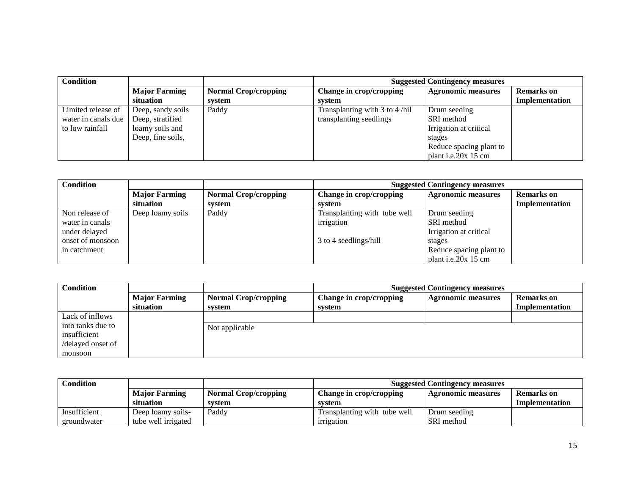| <b>Condition</b>    |                      |                             | <b>Suggested Contingency measures</b> |                           |                   |
|---------------------|----------------------|-----------------------------|---------------------------------------|---------------------------|-------------------|
|                     | <b>Major Farming</b> | <b>Normal Crop/cropping</b> | Change in crop/cropping               | <b>Agronomic measures</b> | <b>Remarks</b> on |
|                     | situation            | svstem                      | system                                |                           | Implementation    |
| Limited release of  | Deep, sandy soils    | Paddy                       | Transplanting with 3 to 4/hil         | Drum seeding              |                   |
| water in canals due | Deep, stratified     |                             | transplanting seedlings               | SRI method                |                   |
| to low rainfall     | loamy soils and      |                             |                                       | Irrigation at critical    |                   |
|                     | Deep, fine soils,    |                             |                                       | stages                    |                   |
|                     |                      |                             |                                       | Reduce spacing plant to   |                   |
|                     |                      |                             |                                       | plant i.e.20x 15 cm       |                   |

| <b>Condition</b> |                      |                             | <b>Suggested Contingency measures</b> |                           |                   |
|------------------|----------------------|-----------------------------|---------------------------------------|---------------------------|-------------------|
|                  | <b>Major Farming</b> | <b>Normal Crop/cropping</b> | Change in crop/cropping               | <b>Agronomic measures</b> | <b>Remarks</b> on |
|                  | situation            | svstem                      | system                                |                           | Implementation    |
| Non release of   | Deep loamy soils     | Paddy                       | Transplanting with tube well          | Drum seeding              |                   |
| water in canals  |                      |                             | irrigation                            | SRI method                |                   |
| under delayed    |                      |                             |                                       | Irrigation at critical    |                   |
| onset of monsoon |                      |                             | 3 to 4 seedlings/hill                 | stages                    |                   |
| in catchment     |                      |                             |                                       | Reduce spacing plant to   |                   |
|                  |                      |                             |                                       | plant i.e.20x 15 cm       |                   |

| <b>Condition</b>  |                      | <b>Suggested Contingency measures</b> |                         |                           |                   |
|-------------------|----------------------|---------------------------------------|-------------------------|---------------------------|-------------------|
|                   | <b>Major Farming</b> | <b>Normal Crop/cropping</b>           | Change in crop/cropping | <b>Agronomic measures</b> | <b>Remarks</b> on |
|                   | situation            | svstem                                | system                  |                           | Implementation    |
| Lack of inflows   |                      |                                       |                         |                           |                   |
| into tanks due to |                      | Not applicable                        |                         |                           |                   |
| insufficient      |                      |                                       |                         |                           |                   |
| /delayed onset of |                      |                                       |                         |                           |                   |
| monsoon           |                      |                                       |                         |                           |                   |

| Condition    |                      |                             | <b>Suggested Contingency measures</b> |                    |                |
|--------------|----------------------|-----------------------------|---------------------------------------|--------------------|----------------|
|              | <b>Major Farming</b> | <b>Normal Crop/cropping</b> | <b>Change in crop/cropping</b>        | Agronomic measures | Remarks on     |
|              | situation            | system                      | system                                |                    | Implementation |
| Insufficient | Deep loamy soils-    | Paddy                       | Transplanting with tube well          | Drum seeding       |                |
| groundwater  | tube well irrigated  |                             | irrigation                            | SRI method         |                |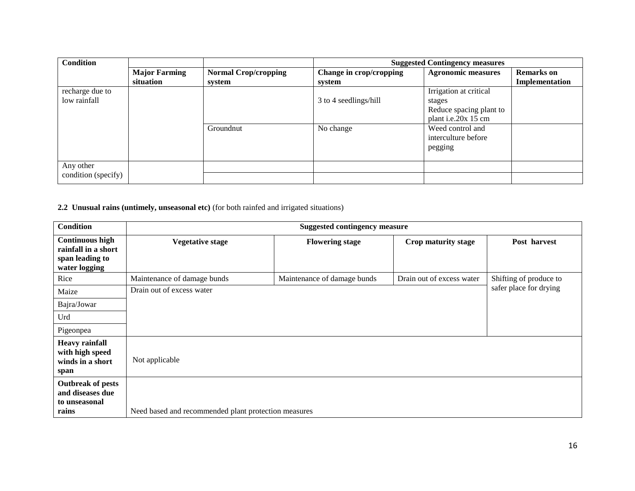| <b>Condition</b>    |                      |                             | <b>Suggested Contingency measures</b> |                           |                   |
|---------------------|----------------------|-----------------------------|---------------------------------------|---------------------------|-------------------|
|                     | <b>Major Farming</b> | <b>Normal Crop/cropping</b> | Change in crop/cropping               | <b>Agronomic measures</b> | <b>Remarks</b> on |
|                     | situation            | svstem                      | system                                |                           | Implementation    |
| recharge due to     |                      |                             |                                       | Irrigation at critical    |                   |
| low rainfall        |                      |                             | 3 to 4 seedlings/hill                 | stages                    |                   |
|                     |                      |                             |                                       | Reduce spacing plant to   |                   |
|                     |                      |                             |                                       | plant i.e.20x 15 cm       |                   |
|                     |                      | Groundnut                   | No change                             | Weed control and          |                   |
|                     |                      |                             |                                       | interculture before       |                   |
|                     |                      |                             |                                       | pegging                   |                   |
|                     |                      |                             |                                       |                           |                   |
| Any other           |                      |                             |                                       |                           |                   |
| condition (specify) |                      |                             |                                       |                           |                   |

**2.2 Unusual rains (untimely, unseasonal etc)** (for both rainfed and irrigated situations)

| <b>Condition</b>                                                                  | <b>Suggested contingency measure</b>                 |                             |                           |                        |  |  |
|-----------------------------------------------------------------------------------|------------------------------------------------------|-----------------------------|---------------------------|------------------------|--|--|
| <b>Continuous high</b><br>rainfall in a short<br>span leading to<br>water logging | <b>Vegetative stage</b>                              | <b>Flowering stage</b>      | Crop maturity stage       | Post harvest           |  |  |
| Rice                                                                              | Maintenance of damage bunds                          | Maintenance of damage bunds | Drain out of excess water | Shifting of produce to |  |  |
| Maize                                                                             | Drain out of excess water                            |                             |                           | safer place for drying |  |  |
| Bajra/Jowar                                                                       |                                                      |                             |                           |                        |  |  |
| Urd                                                                               |                                                      |                             |                           |                        |  |  |
| Pigeonpea                                                                         |                                                      |                             |                           |                        |  |  |
| <b>Heavy rainfall</b><br>with high speed<br>winds in a short<br>span              | Not applicable                                       |                             |                           |                        |  |  |
| <b>Outbreak of pests</b><br>and diseases due<br>to unseasonal<br>rains            | Need based and recommended plant protection measures |                             |                           |                        |  |  |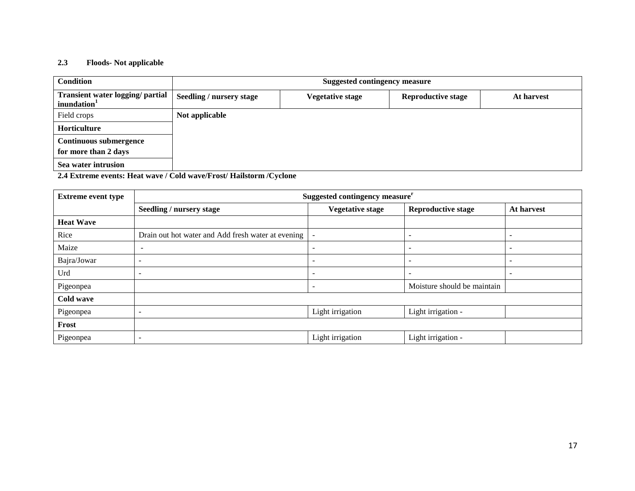#### **2.3 Floods- Not applicable**

| <b>Condition</b>                                            | <b>Suggested contingency measure</b> |                         |                           |            |  |  |
|-------------------------------------------------------------|--------------------------------------|-------------------------|---------------------------|------------|--|--|
| Transient water logging/ partial<br>inundation <sup>1</sup> | <b>Seedling / nursery stage</b>      | <b>Vegetative stage</b> | <b>Reproductive stage</b> | At harvest |  |  |
| Field crops                                                 | Not applicable                       |                         |                           |            |  |  |
| Horticulture                                                |                                      |                         |                           |            |  |  |
| <b>Continuous submergence</b>                               |                                      |                         |                           |            |  |  |
| for more than 2 days                                        |                                      |                         |                           |            |  |  |
| Sea water intrusion                                         |                                      |                         |                           |            |  |  |

**2.4 Extreme events: Heat wave / Cold wave/Frost/ Hailstorm /Cyclone**

| <b>Extreme event type</b> | Suggested contingency measure <sup>r</sup>         |                          |                             |                          |  |  |
|---------------------------|----------------------------------------------------|--------------------------|-----------------------------|--------------------------|--|--|
|                           | Seedling / nursery stage                           | <b>Vegetative stage</b>  | <b>Reproductive stage</b>   | At harvest               |  |  |
| <b>Heat Wave</b>          |                                                    |                          |                             |                          |  |  |
| Rice                      | Drain out hot water and Add fresh water at evening | $\overline{\phantom{a}}$ | $\overline{\phantom{a}}$    | $\overline{\phantom{0}}$ |  |  |
| Maize                     | $\overline{\phantom{a}}$                           | $\overline{\phantom{0}}$ | $\overline{\phantom{a}}$    | $\overline{\phantom{0}}$ |  |  |
| Bajra/Jowar               | $\overline{\phantom{a}}$                           |                          | $\overline{\phantom{a}}$    |                          |  |  |
| Urd                       | $\overline{\phantom{0}}$                           |                          | $\overline{\phantom{0}}$    |                          |  |  |
| Pigeonpea                 |                                                    | $\overline{\phantom{0}}$ | Moisture should be maintain |                          |  |  |
| Cold wave                 |                                                    |                          |                             |                          |  |  |
| Pigeonpea                 | $\overline{\phantom{a}}$                           | Light irrigation         | Light irrigation -          |                          |  |  |
| Frost                     |                                                    |                          |                             |                          |  |  |
| Pigeonpea                 | -                                                  | Light irrigation         | Light irrigation -          |                          |  |  |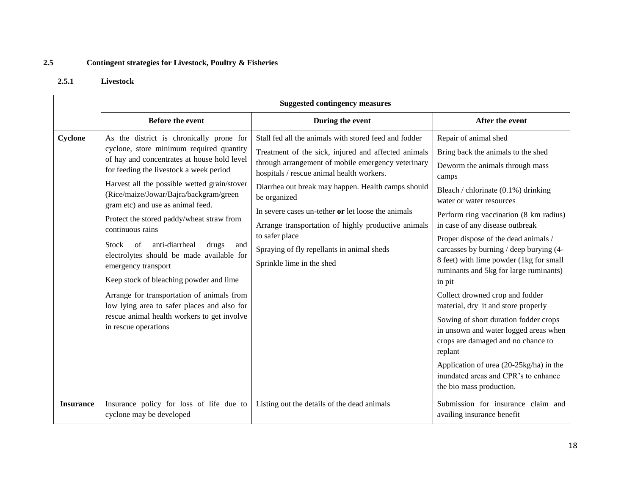# **2.5 Contingent strategies for Livestock, Poultry & Fisheries**

#### **2.5.1 Livestock**

|                  | <b>Suggested contingency measures</b>                                                                                                                                                                                                                                                                                                                                                                                                                                                                                                                                                                                                                                                                              |                                                                                                                                                                                                                                                                                                                                                                                                                                                                                                 |                                                                                                                                                                                                                                                                                                                                                                                                                                                                                                                                                                                                                                                                                                                                                                       |  |  |
|------------------|--------------------------------------------------------------------------------------------------------------------------------------------------------------------------------------------------------------------------------------------------------------------------------------------------------------------------------------------------------------------------------------------------------------------------------------------------------------------------------------------------------------------------------------------------------------------------------------------------------------------------------------------------------------------------------------------------------------------|-------------------------------------------------------------------------------------------------------------------------------------------------------------------------------------------------------------------------------------------------------------------------------------------------------------------------------------------------------------------------------------------------------------------------------------------------------------------------------------------------|-----------------------------------------------------------------------------------------------------------------------------------------------------------------------------------------------------------------------------------------------------------------------------------------------------------------------------------------------------------------------------------------------------------------------------------------------------------------------------------------------------------------------------------------------------------------------------------------------------------------------------------------------------------------------------------------------------------------------------------------------------------------------|--|--|
|                  | <b>Before the event</b>                                                                                                                                                                                                                                                                                                                                                                                                                                                                                                                                                                                                                                                                                            | During the event                                                                                                                                                                                                                                                                                                                                                                                                                                                                                | After the event                                                                                                                                                                                                                                                                                                                                                                                                                                                                                                                                                                                                                                                                                                                                                       |  |  |
| Cyclone          | As the district is chronically prone for<br>cyclone, store minimum required quantity<br>of hay and concentrates at house hold level<br>for feeding the livestock a week period<br>Harvest all the possible wetted grain/stover<br>(Rice/maize/Jowar/Bajra/backgram/green<br>gram etc) and use as animal feed.<br>Protect the stored paddy/wheat straw from<br>continuous rains<br>anti-diarrheal<br>Stock<br>of<br>drugs<br>and<br>electrolytes should be made available for<br>emergency transport<br>Keep stock of bleaching powder and lime<br>Arrange for transportation of animals from<br>low lying area to safer places and also for<br>rescue animal health workers to get involve<br>in rescue operations | Stall fed all the animals with stored feed and fodder<br>Treatment of the sick, injured and affected animals<br>through arrangement of mobile emergency veterinary<br>hospitals / rescue animal health workers.<br>Diarrhea out break may happen. Health camps should<br>be organized<br>In severe cases un-tether or let loose the animals<br>Arrange transportation of highly productive animals<br>to safer place<br>Spraying of fly repellants in animal sheds<br>Sprinkle lime in the shed | Repair of animal shed<br>Bring back the animals to the shed<br>Deworm the animals through mass<br>camps<br>Bleach / chlorinate (0.1%) drinking<br>water or water resources<br>Perform ring vaccination (8 km radius)<br>in case of any disease outbreak<br>Proper dispose of the dead animals /<br>carcasses by burning / deep burying (4-<br>8 feet) with lime powder (1kg for small<br>ruminants and 5kg for large ruminants)<br>in pit<br>Collect drowned crop and fodder<br>material, dry it and store properly<br>Sowing of short duration fodder crops<br>in unsown and water logged areas when<br>crops are damaged and no chance to<br>replant<br>Application of urea (20-25kg/ha) in the<br>inundated areas and CPR's to enhance<br>the bio mass production. |  |  |
| <b>Insurance</b> | Insurance policy for loss of life due to<br>cyclone may be developed                                                                                                                                                                                                                                                                                                                                                                                                                                                                                                                                                                                                                                               | Listing out the details of the dead animals                                                                                                                                                                                                                                                                                                                                                                                                                                                     | Submission for insurance claim and<br>availing insurance benefit                                                                                                                                                                                                                                                                                                                                                                                                                                                                                                                                                                                                                                                                                                      |  |  |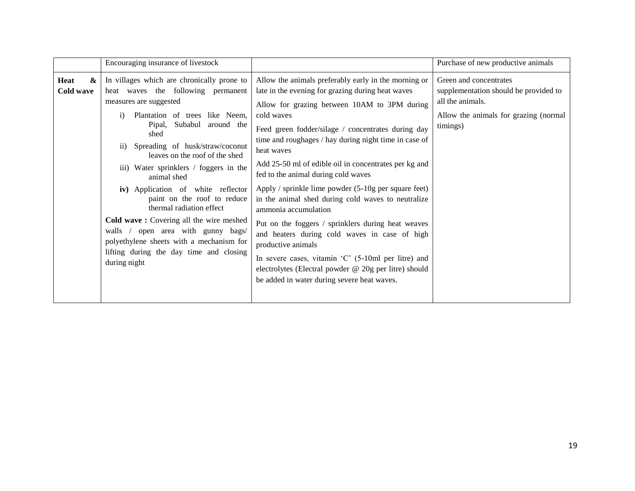|                        | Encouraging insurance of livestock                                                                                                                                                                                                                                                                                                                                                                                                                                                                                                                                                                                                       |                                                                                                                                                                                                                                                                                                                                                                                                                                                                                                                                                                                                                                                                                                                                                                                                                                                            | Purchase of new productive animals                                                                                                       |
|------------------------|------------------------------------------------------------------------------------------------------------------------------------------------------------------------------------------------------------------------------------------------------------------------------------------------------------------------------------------------------------------------------------------------------------------------------------------------------------------------------------------------------------------------------------------------------------------------------------------------------------------------------------------|------------------------------------------------------------------------------------------------------------------------------------------------------------------------------------------------------------------------------------------------------------------------------------------------------------------------------------------------------------------------------------------------------------------------------------------------------------------------------------------------------------------------------------------------------------------------------------------------------------------------------------------------------------------------------------------------------------------------------------------------------------------------------------------------------------------------------------------------------------|------------------------------------------------------------------------------------------------------------------------------------------|
| Heat<br>&<br>Cold wave | In villages which are chronically prone to<br>heat waves the following permanent<br>measures are suggested<br>Plantation of trees like Neem,<br>$\mathbf{i}$<br>Subabul around the<br>Pipal,<br>shed<br>Spreading of husk/straw/coconut<br>$\rm ii)$<br>leaves on the roof of the shed<br>iii) Water sprinklers / foggers in the<br>animal shed<br>iv) Application of white reflector<br>paint on the roof to reduce<br>thermal radiation effect<br>Cold wave: Covering all the wire meshed<br>walls / open area with gunny bags/<br>polyethylene sheets with a mechanism for<br>lifting during the day time and closing<br>during night | Allow the animals preferably early in the morning or<br>late in the evening for grazing during heat waves<br>Allow for grazing between 10AM to 3PM during<br>cold waves<br>Feed green fodder/silage / concentrates during day<br>time and roughages / hay during night time in case of<br>heat waves<br>Add 25-50 ml of edible oil in concentrates per kg and<br>fed to the animal during cold waves<br>Apply / sprinkle lime powder (5-10g per square feet)<br>in the animal shed during cold waves to neutralize<br>ammonia accumulation<br>Put on the foggers / sprinklers during heat weaves<br>and heaters during cold waves in case of high<br>productive animals<br>In severe cases, vitamin $^{\circ}$ C $^{\circ}$ (5-10ml per litre) and<br>electrolytes (Electral powder @ 20g per litre) should<br>be added in water during severe heat waves. | Green and concentrates<br>supplementation should be provided to<br>all the animals.<br>Allow the animals for grazing (normal<br>timings) |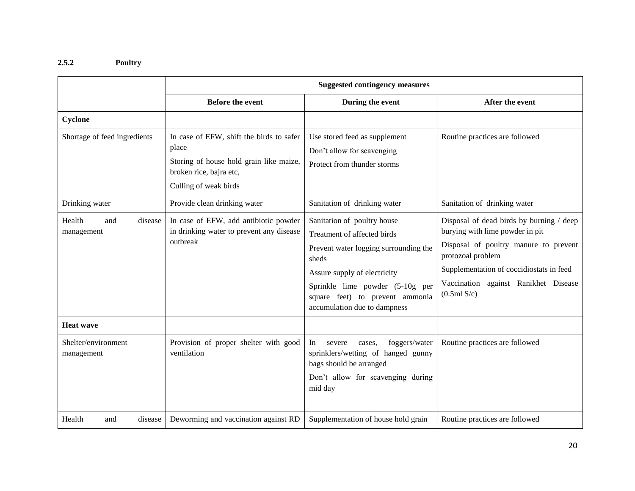# **2.5.2 Poultry**

|                                        | <b>Suggested contingency measures</b>                                                                                                            |                                                                                                                                                                                                                                                    |                                                                                                                                                                                                                                              |  |
|----------------------------------------|--------------------------------------------------------------------------------------------------------------------------------------------------|----------------------------------------------------------------------------------------------------------------------------------------------------------------------------------------------------------------------------------------------------|----------------------------------------------------------------------------------------------------------------------------------------------------------------------------------------------------------------------------------------------|--|
|                                        | <b>Before the event</b>                                                                                                                          | During the event                                                                                                                                                                                                                                   | After the event                                                                                                                                                                                                                              |  |
| Cyclone                                |                                                                                                                                                  |                                                                                                                                                                                                                                                    |                                                                                                                                                                                                                                              |  |
| Shortage of feed ingredients           | In case of EFW, shift the birds to safer<br>place<br>Storing of house hold grain like maize,<br>broken rice, bajra etc,<br>Culling of weak birds | Use stored feed as supplement<br>Don't allow for scavenging<br>Protect from thunder storms                                                                                                                                                         | Routine practices are followed                                                                                                                                                                                                               |  |
| Drinking water                         | Provide clean drinking water                                                                                                                     | Sanitation of drinking water                                                                                                                                                                                                                       | Sanitation of drinking water                                                                                                                                                                                                                 |  |
| Health<br>disease<br>and<br>management | In case of EFW, add antibiotic powder<br>in drinking water to prevent any disease<br>outbreak                                                    | Sanitation of poultry house<br>Treatment of affected birds<br>Prevent water logging surrounding the<br>sheds<br>Assure supply of electricity<br>Sprinkle lime powder (5-10g per<br>square feet) to prevent ammonia<br>accumulation due to dampness | Disposal of dead birds by burning / deep<br>burying with lime powder in pit<br>Disposal of poultry manure to prevent<br>protozoal problem<br>Supplementation of coccidiostats in feed<br>Vaccination against Ranikhet Disease<br>(0.5ml S/c) |  |
| <b>Heat wave</b>                       |                                                                                                                                                  |                                                                                                                                                                                                                                                    |                                                                                                                                                                                                                                              |  |
| Shelter/environment<br>management      | Provision of proper shelter with good<br>ventilation                                                                                             | In<br>foggers/water<br>severe<br>cases.<br>sprinklers/wetting of hanged gunny<br>bags should be arranged<br>Don't allow for scavenging during<br>mid day                                                                                           | Routine practices are followed                                                                                                                                                                                                               |  |
| Health<br>disease<br>and               | Deworming and vaccination against RD                                                                                                             | Supplementation of house hold grain                                                                                                                                                                                                                | Routine practices are followed                                                                                                                                                                                                               |  |